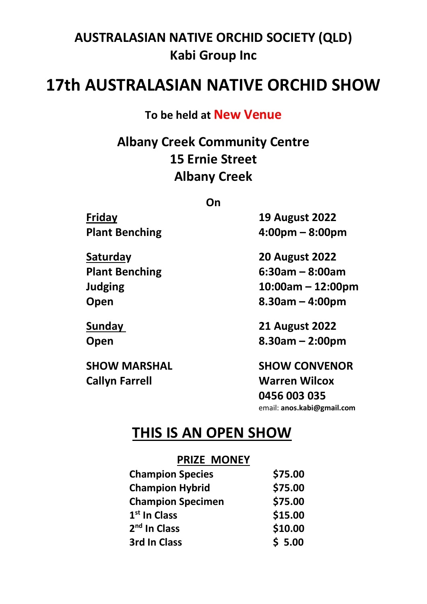## **AUSTRALASIAN NATIVE ORCHID SOCIETY (QLD) Kabi Group Inc**

# **17th AUSTRALASIAN NATIVE ORCHID SHOW**

**To be held at New Venue**

**Albany Creek Community Centre 15 Ernie Street Albany Creek**

**On**

**Callyn Farrell Warren Wilcox**

**Friday 19 August 2022 Plant Benching 4:00pm – 8:00pm**

**Saturday 20 August 2022 Plant Benching 6:30am – 8:00am Judging 10:00am – 12:00pm Open 8.30am – 4:00pm**

**Sunday 21 August 2022 Open 8.30am – 2:00pm**

**SHOW MARSHAL SHOW CONVENOR 0456 003 035**

email: **anos.kabi@gmail.com**

## **THIS IS AN OPEN SHOW**

#### **PRIZE MONEY**

| <b>Champion Species</b>  | \$75.00 |
|--------------------------|---------|
| <b>Champion Hybrid</b>   | \$75.00 |
| <b>Champion Specimen</b> | \$75.00 |
| 1 <sup>st</sup> In Class | \$15.00 |
| 2 <sup>nd</sup> In Class | \$10.00 |
| 3rd In Class             | \$5.00  |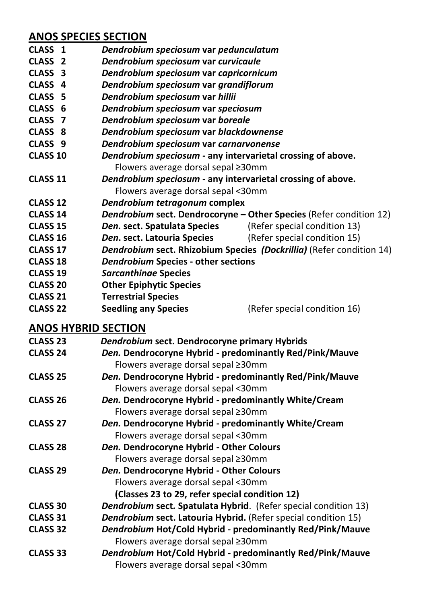### **ANOS SPECIES SECTION**

- **CLASS 1** *Dendrobium speciosum* **var** *pedunculatum*
- **CLASS 2** *Dendrobium speciosum* **var** *curvicaule*
- **CLASS 3** *Dendrobium speciosum* **var** *capricornicum*
	- **CLASS 4** *Dendrobium speciosum* **var** *grandiflorum*
- **CLASS 5** *Dendrobium speciosum* **var** *hillii*
- **CLASS 6** *Dendrobium speciosum* **var** *speciosum*
- **CLASS 7** *Dendrobium speciosum* **var** *boreale*
- **CLASS 8** *Dendrobium speciosum* **var** *blackdownense*
- **CLASS 9** *Dendrobium speciosum* **var** *carnarvonense*
- **CLASS 10** *Dendrobium speciosum* **- any intervarietal crossing of above.** Flowers average dorsal sepal ≥30mm
- **CLASS 11** *Dendrobium speciosum* **- any intervarietal crossing of above.** Flowers average dorsal sepal <30mm
- **CLASS 12** *Dendrobium tetragonum* **complex**
- **CLASS 14** *Dendrobium* **sect. Dendrocoryne – Other Species** (Refer condition 12)
- **CLASS 15** *Den.* sect. Spatulata Species
- **CLASS 16** *Den***. sect. Latouria Species** (Refer special condition 15)
- **CLASS 17** *Dendrobium* **sect. Rhizobium Species** *(Dockrillia)* (Refer condition 14)
- **CLASS 18** *Dendrobium* **Species - other sections**
- **CLASS 19** *Sarcanthinae* **Species**
- **CLASS 20 Other Epiphytic Species**
- **CLASS 21 Terrestrial Species**
- **CLASS 22 Seedling any Species** (Refer special condition 16)

### **ANOS HYBRID SECTION**

| <b>CLASS 23</b> | Dendrobium sect. Dendrocoryne primary Hybrids                          |  |
|-----------------|------------------------------------------------------------------------|--|
| <b>CLASS 24</b> | Den. Dendrocoryne Hybrid - predominantly Red/Pink/Mauve                |  |
|                 | Flowers average dorsal sepal ≥30mm                                     |  |
| <b>CLASS 25</b> | Den. Dendrocoryne Hybrid - predominantly Red/Pink/Mauve                |  |
|                 | Flowers average dorsal sepal <30mm                                     |  |
| <b>CLASS 26</b> | Den. Dendrocoryne Hybrid - predominantly White/Cream                   |  |
|                 | Flowers average dorsal sepal ≥30mm                                     |  |
| <b>CLASS 27</b> | Den. Dendrocoryne Hybrid - predominantly White/Cream                   |  |
|                 | Flowers average dorsal sepal <30mm                                     |  |
| <b>CLASS 28</b> | Den. Dendrocoryne Hybrid - Other Colours                               |  |
|                 | Flowers average dorsal sepal ≥30mm                                     |  |
| <b>CLASS 29</b> | Den. Dendrocoryne Hybrid - Other Colours                               |  |
|                 | Flowers average dorsal sepal <30mm                                     |  |
|                 | (Classes 23 to 29, refer special condition 12)                         |  |
| <b>CLASS 30</b> | <b>Dendrobium sect. Spatulata Hybrid.</b> (Refer special condition 13) |  |
| <b>CLASS 31</b> | Dendrobium sect. Latouria Hybrid. (Refer special condition 15)         |  |
| <b>CLASS 32</b> | Dendrobium Hot/Cold Hybrid - predominantly Red/Pink/Mauve              |  |
|                 | Flowers average dorsal sepal ≥30mm                                     |  |
| <b>CLASS 33</b> | Dendrobium Hot/Cold Hybrid - predominantly Red/Pink/Mauve              |  |
|                 | Flowers average dorsal sepal <30mm                                     |  |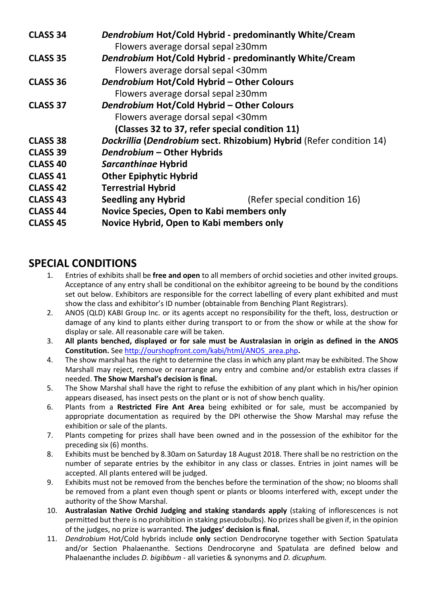| <b>CLASS 34</b> | Dendrobium Hot/Cold Hybrid - predominantly White/Cream<br>Flowers average dorsal sepal ≥30mm |                              |
|-----------------|----------------------------------------------------------------------------------------------|------------------------------|
| <b>CLASS 35</b> | Dendrobium Hot/Cold Hybrid - predominantly White/Cream                                       |                              |
|                 | Flowers average dorsal sepal <30mm                                                           |                              |
| <b>CLASS 36</b> | Dendrobium Hot/Cold Hybrid - Other Colours                                                   |                              |
|                 | Flowers average dorsal sepal ≥30mm                                                           |                              |
| <b>CLASS 37</b> | Dendrobium Hot/Cold Hybrid - Other Colours                                                   |                              |
|                 | Flowers average dorsal sepal <30mm                                                           |                              |
|                 | (Classes 32 to 37, refer special condition 11)                                               |                              |
| <b>CLASS 38</b> | Dockrillia (Dendrobium sect. Rhizobium) Hybrid (Refer condition 14)                          |                              |
| CLASS 39        | Dendrobium - Other Hybrids                                                                   |                              |
| <b>CLASS 40</b> | Sarcanthinae Hybrid                                                                          |                              |
| <b>CLASS 41</b> | <b>Other Epiphytic Hybrid</b>                                                                |                              |
| <b>CLASS 42</b> | <b>Terrestrial Hybrid</b>                                                                    |                              |
| <b>CLASS 43</b> | Seedling any Hybrid                                                                          | (Refer special condition 16) |
| <b>CLASS 44</b> | Novice Species, Open to Kabi members only                                                    |                              |
| <b>CLASS 45</b> | Novice Hybrid, Open to Kabi members only                                                     |                              |

#### **SPECIAL CONDITIONS**

- 1. Entries of exhibits shall be **free and open** to all members of orchid societies and other invited groups. Acceptance of any entry shall be conditional on the exhibitor agreeing to be bound by the conditions set out below. Exhibitors are responsible for the correct labelling of every plant exhibited and must show the class and exhibitor's ID number (obtainable from Benching Plant Registrars).
- 2. ANOS (QLD) KABI Group Inc. or its agents accept no responsibility for the theft, loss, destruction or damage of any kind to plants either during transport to or from the show or while at the show for display or sale. All reasonable care will be taken.
- 3. **All plants benched, displayed or for sale must be Australasian in origin as defined in the ANOS Constitution.** Se[e http://ourshopfront.com/kabi/html/ANOS\\_area.php](http://ourshopfront.com/kabi/html/ANOS_area.php)**.**
- 4. The show marshal has the right to determine the class in which any plant may be exhibited. The Show Marshall may reject, remove or rearrange any entry and combine and/or establish extra classes if needed. **The Show Marshal's decision is final.**
- 5. The Show Marshal shall have the right to refuse the exhibition of any plant which in his/her opinion appears diseased, has insect pests on the plant or is not of show bench quality.
- 6. Plants from a **Restricted Fire Ant Area** being exhibited or for sale, must be accompanied by appropriate documentation as required by the DPI otherwise the Show Marshal may refuse the exhibition or sale of the plants.
- 7. Plants competing for prizes shall have been owned and in the possession of the exhibitor for the preceding six (6) months.
- 8. Exhibits must be benched by 8.30am on Saturday 18 August 2018. There shall be no restriction on the number of separate entries by the exhibitor in any class or classes. Entries in joint names will be accepted. All plants entered will be judged.
- 9. Exhibits must not be removed from the benches before the termination of the show; no blooms shall be removed from a plant even though spent or plants or blooms interfered with, except under the authority of the Show Marshal.
- 10. **Australasian Native Orchid Judging and staking standards apply** (staking of inflorescences is not permitted but there is no prohibition in staking pseudobulbs). No prizes shall be given if, in the opinion of the judges, no prize is warranted. **The judges' decision is final.**
- 11. *Dendrobium* Hot/Cold hybrids include **only** section Dendrocoryne together with Section Spatulata and/or Section Phalaenanthe. Sections Dendrocoryne and Spatulata are defined below and Phalaenanthe includes *D. bigibbum -* all varieties & synonyms and *D. dicuphum.*